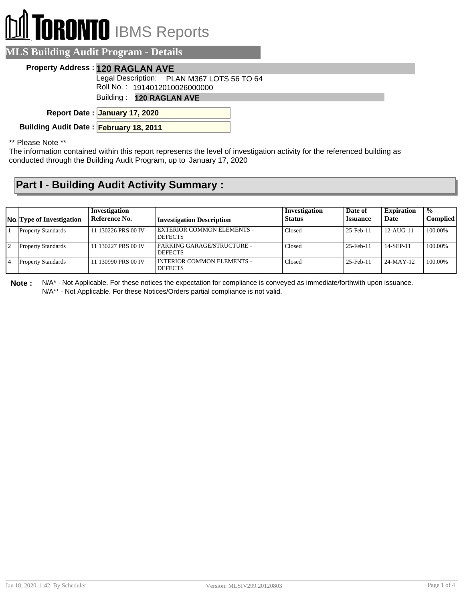# **RONTO** IBMS Reports

### **MLS Building Audit Program - Details**

#### **Property Address : 120 RAGLAN AVE**

Legal Description: PLAN M367 LOTS 56 TO 64

Roll No. : 1914012010026000000

Building : **120 RAGLAN AVE**

**January 17, 2020 Report Date :**

**Building Audit Date : February 18, 2011**

\*\* Please Note \*\*

The information contained within this report represents the level of investigation activity for the referenced building as conducted through the Building Audit Program, up to January 17, 2020

## **Part I - Building Audit Activity Summary :**

| <b>No.</b> Type of Investigation | Investigation<br>Reference No. | <b>Investigation Description</b>                    | Investigation<br><b>Status</b> | Date of<br><b>Issuance</b> | <b>Expiration</b><br>Date | $\frac{1}{2}$<br><b>Complied</b> |
|----------------------------------|--------------------------------|-----------------------------------------------------|--------------------------------|----------------------------|---------------------------|----------------------------------|
| <b>Property Standards</b>        | 11 130226 PRS 00 IV            | <b>EXTERIOR COMMON ELEMENTS -</b><br><b>DEFECTS</b> | Closed                         | 25-Feb-11                  | $12 - AI$ $G-11$          | 100.00%                          |
| <b>Property Standards</b>        | 11 130227 PRS 00 IV            | PARKING GARAGE/STRUCTURE -<br><b>DEFECTS</b>        | Closed                         | 25-Feb-11                  | 14-SEP-11                 | 100.00%                          |
| <b>Property Standards</b>        | 11 130990 PRS 00 IV            | I INTERIOR COMMON ELEMENTS -<br><b>DEFECTS</b>      | Closed                         | 25-Feb-11                  | $24-MAY-12$               | 100.00%                          |

**Note :** N/A\* - Not Applicable. For these notices the expectation for compliance is conveyed as immediate/forthwith upon issuance. N/A\*\* - Not Applicable. For these Notices/Orders partial compliance is not valid.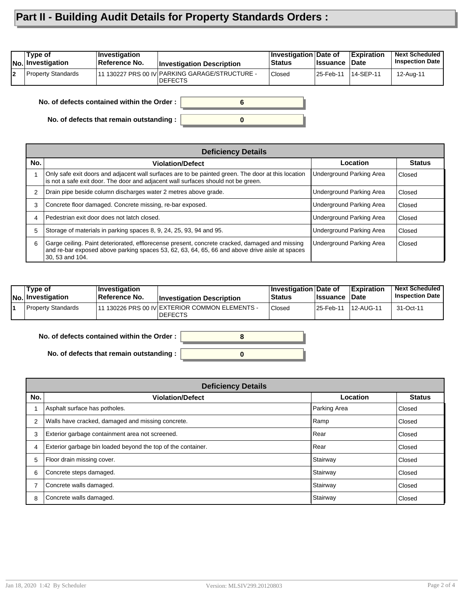## **Part II - Building Audit Details for Property Standards Orders :**

|    | Type of<br><b>No. Investigation</b> | Investigation<br>∣Reference No.            | <b>Investigation Description</b>                                 | Investigation Date of<br><b>Status</b> | <b>Issuance</b> | <b>Expiration</b><br>∣Date | <b>Next Scheduled</b><br><b>Inspection Date</b> |
|----|-------------------------------------|--------------------------------------------|------------------------------------------------------------------|----------------------------------------|-----------------|----------------------------|-------------------------------------------------|
| l2 | Property Standards                  |                                            | 11 130227 PRS 00 IV PARKING GARAGE/STRUCTURE -<br><b>DEFECTS</b> | Closed                                 | 25-Feb-11       | 14-SEP-11                  | 12-Aug-11                                       |
|    |                                     | No. of defects contained within the Order: |                                                                  |                                        |                 |                            |                                                 |

**0**

**No. of defects contained within the Order :**

**No. of defects that remain outstanding :**

|     | <b>Deficiency Details</b>                                                                                                                                                                                           |                          |               |  |  |  |  |
|-----|---------------------------------------------------------------------------------------------------------------------------------------------------------------------------------------------------------------------|--------------------------|---------------|--|--|--|--|
| No. | <b>Violation/Defect</b>                                                                                                                                                                                             | Location                 | <b>Status</b> |  |  |  |  |
|     | Only safe exit doors and adjacent wall surfaces are to be painted green. The door at this location<br>is not a safe exit door. The door and adjacent wall surfaces should not be green.                             | Underground Parking Area | Closed        |  |  |  |  |
| 2   | Drain pipe beside column discharges water 2 metres above grade.                                                                                                                                                     | Underground Parking Area | Closed        |  |  |  |  |
| 3   | Concrete floor damaged. Concrete missing, re-bar exposed.                                                                                                                                                           | Underground Parking Area | Closed        |  |  |  |  |
| 4   | Pedestrian exit door does not latch closed.                                                                                                                                                                         | Underground Parking Area | Closed        |  |  |  |  |
| 5   | Storage of materials in parking spaces 8, 9, 24, 25, 93, 94 and 95.                                                                                                                                                 | Underground Parking Area | Closed        |  |  |  |  |
| 6   | Garge ceiling. Paint deteriorated, efflorecense present, concrete cracked, damaged and missing<br>and re-bar exposed above parking spaces 53, 62, 63, 64, 65, 66 and above drive aisle at spaces<br>30, 53 and 104. | Underground Parking Area | <b>Closed</b> |  |  |  |  |

| Type of<br>No. Investigation | ⊺Investiɑation<br><b>Reference No.</b> | <b>Investigation Description</b>                                  | <b>Investigation Date of</b><br><b>Status</b> | <b>Issuance</b> | <b>Expiration</b><br>∣Date | <b>Next Scheduled</b><br><b>Inspection Date</b> |
|------------------------------|----------------------------------------|-------------------------------------------------------------------|-----------------------------------------------|-----------------|----------------------------|-------------------------------------------------|
| Property Standards           |                                        | 111 130226 PRS 00 IV EXTERIOR COMMON ELEMENTS -<br><b>DEFECTS</b> | Closed                                        | 25-Feb-11       | 12-AUG-11                  | 31-Oct-11                                       |

**No. of defects contained within the Order :**

**No. of defects that remain outstanding :**

|     | <b>Deficiency Details</b>                                    |              |               |  |  |  |  |
|-----|--------------------------------------------------------------|--------------|---------------|--|--|--|--|
| No. | <b>Violation/Defect</b>                                      | Location     | <b>Status</b> |  |  |  |  |
|     | Asphalt surface has potholes.                                | Parking Area | Closed        |  |  |  |  |
|     | Walls have cracked, damaged and missing concrete.            | Ramp         | Closed        |  |  |  |  |
| 3   | Exterior garbage containment area not screened.              | Rear         | Closed        |  |  |  |  |
| 4   | Exterior garbage bin loaded beyond the top of the container. | Rear         | Closed        |  |  |  |  |
| 5   | Floor drain missing cover.                                   | Stairway     | Closed        |  |  |  |  |
| 6   | Concrete steps damaged.                                      | Stairway     | Closed        |  |  |  |  |
|     | Concrete walls damaged.                                      | Stairway     | Closed        |  |  |  |  |
| 8   | Concrete walls damaged.                                      | Stairway     | Closed        |  |  |  |  |

**0**

**8**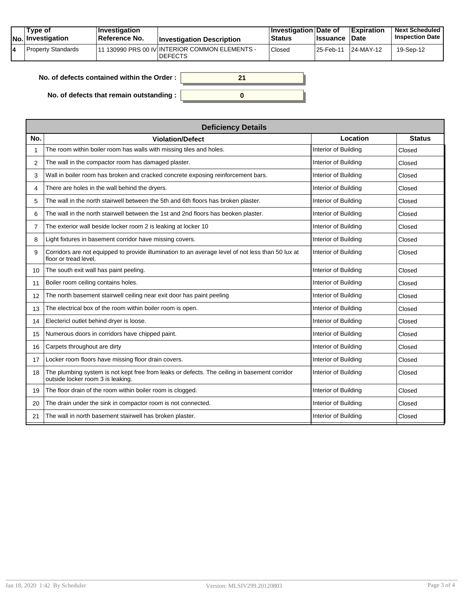| Type of<br>No. Investigation | $ $ Investigation<br><b>Reference No.</b> | <b>Investigation Description</b>                                  | <b>∣Investigation Date of</b><br><b>Status</b> | <b>Ilssuance Date</b> | <b>Expiration</b> | <b>Next Scheduled</b><br><b>Inspection Date</b> |
|------------------------------|-------------------------------------------|-------------------------------------------------------------------|------------------------------------------------|-----------------------|-------------------|-------------------------------------------------|
| Property Standards           |                                           | 111 130990 PRS 00 IV INTERIOR COMMON ELEMENTS -<br><b>DEFECTS</b> | <b>Closed</b>                                  | 25-Feb-11             | 24-MAY-12         | 19-Sep-12                                       |

| No. of defects contained within the Order : $\vert$ |  |
|-----------------------------------------------------|--|
| No. of defects that remain outstanding :            |  |

| <b>Deficiency Details</b>                                                                                                         |                      |               |  |  |  |  |  |
|-----------------------------------------------------------------------------------------------------------------------------------|----------------------|---------------|--|--|--|--|--|
| <b>Violation/Defect</b>                                                                                                           | Location             | <b>Status</b> |  |  |  |  |  |
| The room within boiler room has walls with missing tiles and holes.                                                               | Interior of Building | Closed        |  |  |  |  |  |
| The wall in the compactor room has damaged plaster.                                                                               | Interior of Building | Closed        |  |  |  |  |  |
| Wall in boiler room has broken and cracked concrete exposing reinforcement bars.                                                  | Interior of Building | Closed        |  |  |  |  |  |
| There are holes in the wall behind the dryers.                                                                                    | Interior of Building | Closed        |  |  |  |  |  |
| The wall in the north stairwell between the 5th and 6th floors has broken plaster.                                                | Interior of Building | Closed        |  |  |  |  |  |
| The wall in the north stairwell between the 1st and 2nd floors has beoken plaster.                                                | Interior of Building | Closed        |  |  |  |  |  |
| The exterior wall beside locker room 2 is leaking at locker 10                                                                    | Interior of Building | Closed        |  |  |  |  |  |
| Light fixtures in basement corridor have missing covers.                                                                          | Interior of Building | Closed        |  |  |  |  |  |
| Corridors are not equipped to provide illumination to an average level of not less than 50 lux at<br>floor or tread level.        | Interior of Building | Closed        |  |  |  |  |  |
| The south exit wall has paint peeling.                                                                                            | Interior of Building | Closed        |  |  |  |  |  |
| Boiler room ceiling contains holes.                                                                                               | Interior of Building | Closed        |  |  |  |  |  |
| The north basement stairwell ceiling near exit door has paint peeling                                                             | Interior of Building | Closed        |  |  |  |  |  |
| The electrical box of the room within boiler room is open.                                                                        | Interior of Building | Closed        |  |  |  |  |  |
| Electericl outlet behind dryer is loose.                                                                                          | Interior of Building | Closed        |  |  |  |  |  |
| Numerous doors in corridors have chipped paint.                                                                                   | Interior of Building | Closed        |  |  |  |  |  |
| Carpets throughout are dirty                                                                                                      | Interior of Building | Closed        |  |  |  |  |  |
| Locker room floors have missing floor drain covers.                                                                               | Interior of Building | Closed        |  |  |  |  |  |
| The plumbing system is not kept free from leaks or defects. The ceiling in basement corridor<br>outside locker room 3 is leaking. | Interior of Building | Closed        |  |  |  |  |  |
| The floor drain of the room within boiler room is clogged.                                                                        | Interior of Building | Closed        |  |  |  |  |  |
| The drain under the sink in compactor room is not connected.                                                                      | Interior of Building | Closed        |  |  |  |  |  |
| The wall in north basement stairwell has broken plaster.                                                                          | Interior of Building | Closed        |  |  |  |  |  |
|                                                                                                                                   |                      |               |  |  |  |  |  |